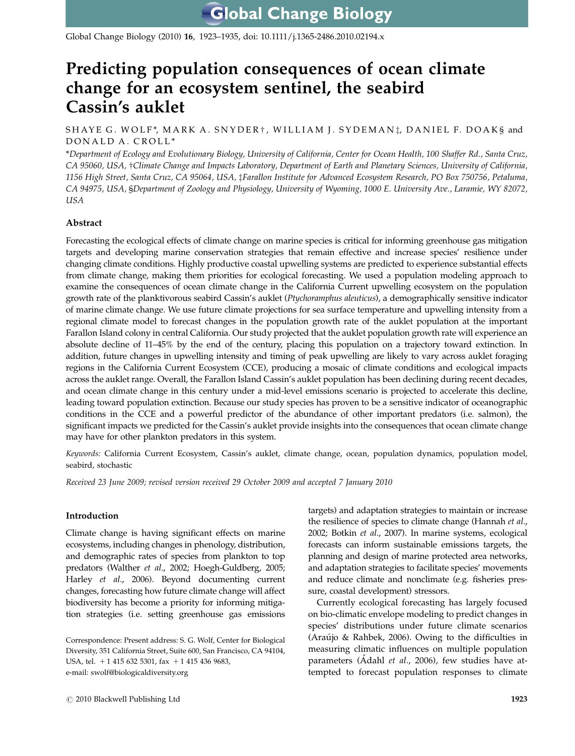Global Change Biology (2010) 16, 1923–1935, doi: 10.1111/j.1365-2486.2010.02194.x

# Predicting population consequences of ocean climate change for an ecosystem sentinel, the seabird Cassin's auklet

SHAYE G. WOLF\*, MARK A. SNYDER†, WILLIAM J. SYDEMAN‡, DANIEL F. DOAK§ and DONALD A. CROLL \*

\*Department of Ecology and Evolutionary Biology, University of California, Center for Ocean Health, 100 Shaffer Rd., Santa Cruz, CA 95060, USA, †Climate Change and Impacts Laboratory, Department of Earth and Planetary Sciences, University of California, 1156 High Street, Santa Cruz, CA 95064, USA, zFarallon Institute for Advanced Ecosystem Research, PO Box 750756, Petaluma, CA 94975, USA, §Department of Zoology and Physiology, University of Wyoming, 1000 E. University Ave., Laramie, WY 82072, USA

# Abstract

Forecasting the ecological effects of climate change on marine species is critical for informing greenhouse gas mitigation targets and developing marine conservation strategies that remain effective and increase species' resilience under changing climate conditions. Highly productive coastal upwelling systems are predicted to experience substantial effects from climate change, making them priorities for ecological forecasting. We used a population modeling approach to examine the consequences of ocean climate change in the California Current upwelling ecosystem on the population growth rate of the planktivorous seabird Cassin's auklet (Ptychoramphus aleuticus), a demographically sensitive indicator of marine climate change. We use future climate projections for sea surface temperature and upwelling intensity from a regional climate model to forecast changes in the population growth rate of the auklet population at the important Farallon Island colony in central California. Our study projected that the auklet population growth rate will experience an absolute decline of 11–45% by the end of the century, placing this population on a trajectory toward extinction. In addition, future changes in upwelling intensity and timing of peak upwelling are likely to vary across auklet foraging regions in the California Current Ecosystem (CCE), producing a mosaic of climate conditions and ecological impacts across the auklet range. Overall, the Farallon Island Cassin's auklet population has been declining during recent decades, and ocean climate change in this century under a mid-level emissions scenario is projected to accelerate this decline, leading toward population extinction. Because our study species has proven to be a sensitive indicator of oceanographic conditions in the CCE and a powerful predictor of the abundance of other important predators (i.e. salmon), the significant impacts we predicted for the Cassin's auklet provide insights into the consequences that ocean climate change may have for other plankton predators in this system.

Keywords: California Current Ecosystem, Cassin's auklet, climate change, ocean, population dynamics, population model, seabird, stochastic

Received 23 June 2009; revised version received 29 October 2009 and accepted 7 January 2010

# Introduction

Climate change is having significant effects on marine ecosystems, including changes in phenology, distribution, and demographic rates of species from plankton to top predators (Walther et al., 2002; Hoegh-Guldberg, 2005; Harley et al., 2006). Beyond documenting current changes, forecasting how future climate change will affect biodiversity has become a priority for informing mitigation strategies (i.e. setting greenhouse gas emissions

Correspondence: Present address: S. G. Wolf, Center for Biological Diversity, 351 California Street, Suite 600, San Francisco, CA 94104, USA, tel.  $+ 1$  415 632 5301, fax  $+ 1$  415 436 9683, e-mail: [swolf@biologicaldiversity.org](mailto:swolf@biologicaldiversity.org)

targets) and adaptation strategies to maintain or increase the resilience of species to climate change (Hannah et al., 2002; Botkin et al., 2007). In marine systems, ecological forecasts can inform sustainable emissions targets, the planning and design of marine protected area networks, and adaptation strategies to facilitate species' movements and reduce climate and nonclimate (e.g. fisheries pressure, coastal development) stressors.

Currently ecological forecasting has largely focused on bio-climatic envelope modeling to predict changes in species' distributions under future climate scenarios (Araújo & Rahbek, 2006). Owing to the difficulties in measuring climatic influences on multiple population parameters ( $\ddot{\text{A}}$ dahl *et al.*, 2006), few studies have attempted to forecast population responses to climate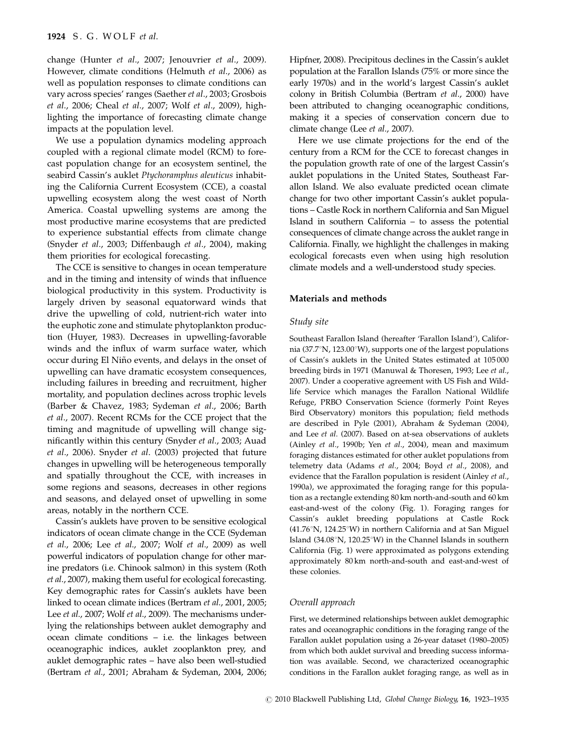change (Hunter et al., 2007; Jenouvrier et al., 2009). However, climate conditions (Helmuth et al., 2006) as well as population responses to climate conditions can vary across species' ranges (Saether et al., 2003; Grosbois et al., 2006; Cheal et al., 2007; Wolf et al., 2009), highlighting the importance of forecasting climate change impacts at the population level.

We use a population dynamics modeling approach coupled with a regional climate model (RCM) to forecast population change for an ecosystem sentinel, the seabird Cassin's auklet Ptychoramphus aleuticus inhabiting the California Current Ecosystem (CCE), a coastal upwelling ecosystem along the west coast of North America. Coastal upwelling systems are among the most productive marine ecosystems that are predicted to experience substantial effects from climate change (Snyder et al., 2003; Diffenbaugh et al., 2004), making them priorities for ecological forecasting.

The CCE is sensitive to changes in ocean temperature and in the timing and intensity of winds that influence biological productivity in this system. Productivity is largely driven by seasonal equatorward winds that drive the upwelling of cold, nutrient-rich water into the euphotic zone and stimulate phytoplankton production (Huyer, 1983). Decreases in upwelling-favorable winds and the influx of warm surface water, which occur during El Niño events, and delays in the onset of upwelling can have dramatic ecosystem consequences, including failures in breeding and recruitment, higher mortality, and population declines across trophic levels (Barber & Chavez, 1983; Sydeman et al., 2006; Barth et al., 2007). Recent RCMs for the CCE project that the timing and magnitude of upwelling will change significantly within this century (Snyder et al., 2003; Auad et al., 2006). Snyder et al. (2003) projected that future changes in upwelling will be heterogeneous temporally and spatially throughout the CCE, with increases in some regions and seasons, decreases in other regions and seasons, and delayed onset of upwelling in some areas, notably in the northern CCE.

Cassin's auklets have proven to be sensitive ecological indicators of ocean climate change in the CCE (Sydeman et al., 2006; Lee et al., 2007; Wolf et al., 2009) as well powerful indicators of population change for other marine predators (i.e. Chinook salmon) in this system (Roth et al., 2007), making them useful for ecological forecasting. Key demographic rates for Cassin's auklets have been linked to ocean climate indices (Bertram et al., 2001, 2005; Lee et al., 2007; Wolf et al., 2009). The mechanisms underlying the relationships between auklet demography and ocean climate conditions – i.e. the linkages between oceanographic indices, auklet zooplankton prey, and auklet demographic rates – have also been well-studied (Bertram et al., 2001; Abraham & Sydeman, 2004, 2006; Hipfner, 2008). Precipitous declines in the Cassin's auklet population at the Farallon Islands (75% or more since the early 1970s) and in the world's largest Cassin's auklet colony in British Columbia (Bertram et al., 2000) have been attributed to changing oceanographic conditions, making it a species of conservation concern due to climate change (Lee et al., 2007).

Here we use climate projections for the end of the century from a RCM for the CCE to forecast changes in the population growth rate of one of the largest Cassin's auklet populations in the United States, Southeast Farallon Island. We also evaluate predicted ocean climate change for two other important Cassin's auklet populations – Castle Rock in northern California and San Miguel Island in southern California – to assess the potential consequences of climate change across the auklet range in California. Finally, we highlight the challenges in making ecological forecasts even when using high resolution climate models and a well-understood study species.

### Materials and methods

#### Study site

Southeast Farallon Island (hereafter 'Farallon Island'), California (37.7 $\mathrm{N}$ , 123.00 $\mathrm{V}$ ), supports one of the largest populations of Cassin's auklets in the United States estimated at 105 000 breeding birds in 1971 (Manuwal & Thoresen, 1993; Lee et al., 2007). Under a cooperative agreement with US Fish and Wildlife Service which manages the Farallon National Wildlife Refuge, PRBO Conservation Science (formerly Point Reyes Bird Observatory) monitors this population; field methods are described in Pyle (2001), Abraham & Sydeman (2004), and Lee et al. (2007). Based on at-sea observations of auklets (Ainley et al., 1990b; Yen et al., 2004), mean and maximum foraging distances estimated for other auklet populations from telemetry data (Adams et al., 2004; Boyd et al., 2008), and evidence that the Farallon population is resident (Ainley et al., 1990a), we approximated the foraging range for this population as a rectangle extending 80 km north-and-south and 60 km east-and-west of the colony (Fig. 1). Foraging ranges for Cassin's auklet breeding populations at Castle Rock (41.76 $\rm\degree N$ , 124.25 $\rm\degree W$ ) in northern California and at San Miguel Island (34.08°N, 120.25°W) in the Channel Islands in southern California (Fig. 1) were approximated as polygons extending approximately 80 km north-and-south and east-and-west of these colonies.

### Overall approach

First, we determined relationships between auklet demographic rates and oceanographic conditions in the foraging range of the Farallon auklet population using a 26-year dataset (1980–2005) from which both auklet survival and breeding success information was available. Second, we characterized oceanographic conditions in the Farallon auklet foraging range, as well as in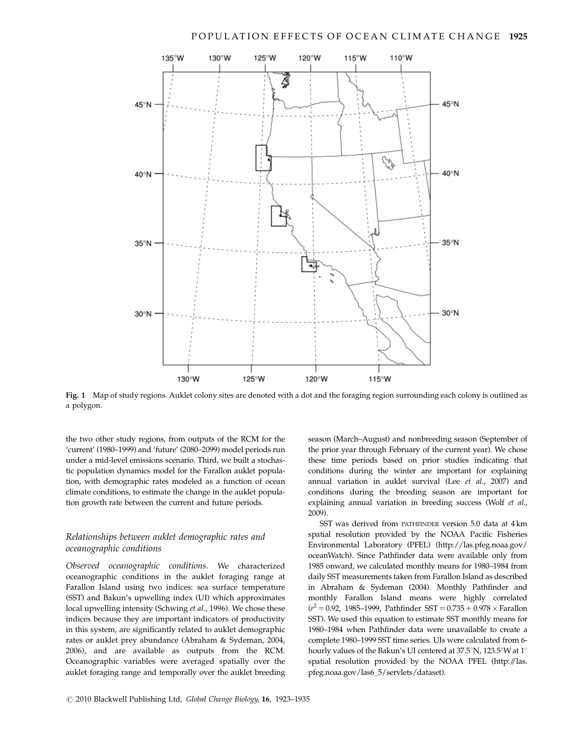

Fig. 1 Map of study regions. Auklet colony sites are denoted with a dot and the foraging region surrounding each colony is outlined as a polygon.

the two other study regions, from outputs of the RCM for the 'current' (1980–1999) and 'future' (2080–2099) model periods run under a mid-level emissions scenario. Third, we built a stochastic population dynamics model for the Farallon auklet population, with demographic rates modeled as a function of ocean climate conditions, to estimate the change in the auklet population growth rate between the current and future periods.

# Relationships between auklet demographic rates and oceanographic conditions

Observed oceanographic conditions. We characterized oceanographic conditions in the auklet foraging range at Farallon Island using two indices: sea surface temperature (SST) and Bakun's upwelling index (UI) which approximates local upwelling intensity (Schwing et al., 1996). We chose these indices because they are important indicators of productivity in this system, are significantly related to auklet demographic rates or auklet prey abundance (Abraham & Sydeman, 2004, 2006), and are available as outputs from the RCM. Oceanographic variables were averaged spatially over the auklet foraging range and temporally over the auklet breeding

season (March–August) and nonbreeding season (September of the prior year through February of the current year). We chose these time periods based on prior studies indicating that conditions during the winter are important for explaining annual variation in auklet survival (Lee et al., 2007) and conditions during the breeding season are important for explaining annual variation in breeding success (Wolf et al., 2009).

SST was derived from PATHFINDER version 5.0 data at 4 km spatial resolution provided by the NOAA Pacific Fisheries Environmental Laboratory (PFEL) [\(http://las.pfeg.noaa.gov/](http://las.pfeg.noaa.gov/oceanWatch) [oceanWatch\). Since Pathfinder data were available only from](http://las.pfeg.noaa.gov/oceanWatch) [1985 onward, we calculated monthly means for 1980–1984 from](http://las.pfeg.noaa.gov/oceanWatch) [daily SST measurements taken from Farallon Island as described](http://las.pfeg.noaa.gov/oceanWatch) [in Abraham & Sydeman \(2004\). Monthly Pathfinder and](http://las.pfeg.noaa.gov/oceanWatch) [monthly Farallon Island means were highly correlated](http://las.pfeg.noaa.gov/oceanWatch)  $(r^2 = 0.92, 1985-1999,$  $(r^2 = 0.92, 1985-1999,$  $(r^2 = 0.92, 1985-1999,$  Pathfinder SST = 0.735 + 0.978  $\times$  [Farallon](http://las.pfeg.noaa.gov/oceanWatch) [SST\). We used this equation to estimate SST monthly means for](http://las.pfeg.noaa.gov/oceanWatch) [1980–1984 when Pathfinder data were unavailable to create a](http://las.pfeg.noaa.gov/oceanWatch) [complete 1980–1999 SST time series. UIs were calculated from 6](http://las.pfeg.noaa.gov/oceanWatch) [hourly values of the Bakun's UI centered at 37.5](http://las.pfeg.noaa.gov/oceanWatch)°N, 123.5°W at 1° [spatial resolution provided by the NOAA PFEL \(http://las.](http://las.pfeg.noaa.gov/las6_5/servlets/dataset) [pfeg.noaa.gov/las6\\_5/servlets/dataset\).](http://las.pfeg.noaa.gov/las6_5/servlets/dataset)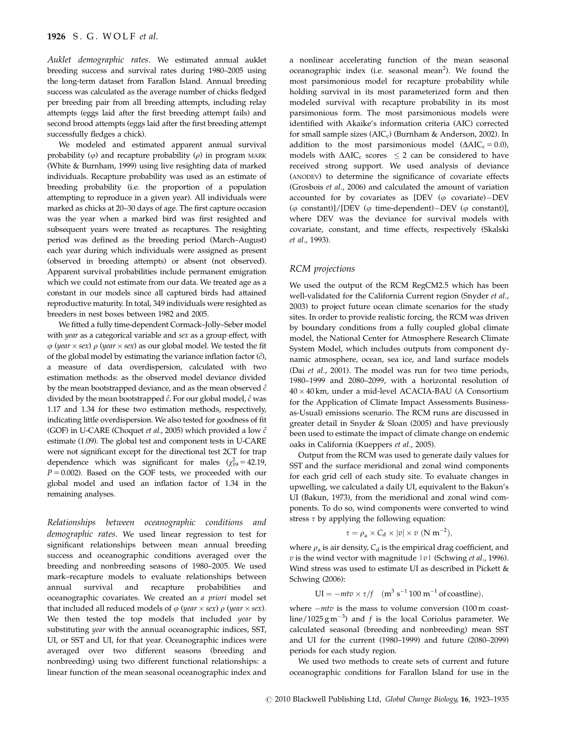Auklet demographic rates. We estimated annual auklet breeding success and survival rates during 1980–2005 using the long-term dataset from Farallon Island. Annual breeding success was calculated as the average number of chicks fledged per breeding pair from all breeding attempts, including relay attempts (eggs laid after the first breeding attempt fails) and second brood attempts (eggs laid after the first breeding attempt successfully fledges a chick).

We modeled and estimated apparent annual survival probability ( $\varphi$ ) and recapture probability ( $\rho$ ) in program MARK (White & Burnham, 1999) using live resighting data of marked individuals. Recapture probability was used as an estimate of breeding probability (i.e. the proportion of a population attempting to reproduce in a given year). All individuals were marked as chicks at 20–30 days of age. The first capture occasion was the year when a marked bird was first resighted and subsequent years were treated as recaptures. The resighting period was defined as the breeding period (March–August) each year during which individuals were assigned as present (observed in breeding attempts) or absent (not observed). Apparent survival probabilities include permanent emigration which we could not estimate from our data. We treated age as a constant in our models since all captured birds had attained reproductive maturity. In total, 349 individuals were resighted as breeders in nest boxes between 1982 and 2005.

We fitted a fully time-dependent Cormack–Jolly–Seber model with *year* as a categorical variable and sex as a group effect, with  $\varphi$  (year  $\times$  sex)  $\rho$  (year  $\times$  sex) as our global model. We tested the fit of the global model by estimating the variance inflation factor  $(\hat{c})$ , a measure of data overdispersion, calculated with two estimation methods: as the observed model deviance divided by the mean bootstrapped deviance, and as the mean observed  $\hat{c}$ divided by the mean bootstrapped  $\hat{c}$ . For our global model,  $\hat{c}$  was 1.17 and 1.34 for these two estimation methods, respectively, indicating little overdispersion. We also tested for goodness of fit (GOF) in U-CARE (Choquet et al., 2005) which provided a low  $\hat{c}$ estimate (1.09). The global test and component tests in U-CARE were not significant except for the directional test 2CT for trap dependence which was significant for males  $(\chi_{19}^2 = 42.19)$ ,  $P = 0.002$ ). Based on the GOF tests, we proceeded with our global model and used an inflation factor of 1.34 in the remaining analyses.

Relationships between oceanographic conditions and demographic rates. We used linear regression to test for significant relationships between mean annual breeding success and oceanographic conditions averaged over the breeding and nonbreeding seasons of 1980–2005. We used mark–recapture models to evaluate relationships between annual survival and recapture probabilities and oceanographic covariates. We created an a priori model set that included all reduced models of  $\varphi$  (year  $\times$  sex)  $\rho$  (year  $\times$  sex). We then tested the top models that included year by substituting *year* with the annual oceanographic indices, SST, UI, or SST and UI, for that year. Oceanographic indices were averaged over two different seasons (breeding and nonbreeding) using two different functional relationships: a linear function of the mean seasonal oceanographic index and

a nonlinear accelerating function of the mean seasonal oceanographic index (i.e. seasonal mean<sup>2</sup>). We found the most parsimonious model for recapture probability while holding survival in its most parameterized form and then modeled survival with recapture probability in its most parsimonious form. The most parsimonious models were identified with Akaike's information criteria (AIC) corrected for small sample sizes ( $AIC_c$ ) (Burnham & Anderson, 2002). In addition to the most parsimonious model  $(\Delta AIC_c = 0.0)$ , models with  $\triangle AIC_c$  scores  $\leq$  2 can be considered to have received strong support. We used analysis of deviance (ANODEV) to determine the significance of covariate effects (Grosbois et al., 2006) and calculated the amount of variation accounted for by covariates as [DEV ( $\varphi$  covariate)-DEV ( $\varphi$  constant)]/[DEV ( $\varphi$  time-dependent)–DEV ( $\varphi$  constant)], where DEV was the deviance for survival models with covariate, constant, and time effects, respectively (Skalski et al., 1993).

#### RCM projections

We used the output of the RCM RegCM2.5 which has been well-validated for the California Current region (Snyder et al., 2003) to project future ocean climate scenarios for the study sites. In order to provide realistic forcing, the RCM was driven by boundary conditions from a fully coupled global climate model, the National Center for Atmosphere Research Climate System Model, which includes outputs from component dynamic atmosphere, ocean, sea ice, and land surface models (Dai et al., 2001). The model was run for two time periods, 1980–1999 and 2080–2099, with a horizontal resolution of 40 × 40 km, under a mid-level ACACIA-BAU (A Consortium for the Application of Climate Impact Assessments Businessas-Usual) emissions scenario. The RCM runs are discussed in greater detail in Snyder & Sloan (2005) and have previously been used to estimate the impact of climate change on endemic oaks in California (Kueppers et al., 2005).

Output from the RCM was used to generate daily values for SST and the surface meridional and zonal wind components for each grid cell of each study site. To evaluate changes in upwelling, we calculated a daily UI, equivalent to the Bakun's UI (Bakun, 1973), from the meridional and zonal wind components. To do so, wind components were converted to wind stress  $\tau$  by applying the following equation:

$$
\tau = \rho_a \times C_d \times |v| \times v \ (N \ m^{-2}),
$$

where  $\rho_a$  is air density,  $C_d$  is the empirical drag coefficient, and  $v$  is the wind vector with magnitude  $|v|$  (Schwing *et al.*, 1996). Wind stress was used to estimate UI as described in Pickett & Schwing (2006):

$$
UI = -mtv \times \tau/f \quad (m^3 \text{ s}^{-1} 100 \text{ m}^{-1} \text{ of } \text{coastline}),
$$

where  $-mtv$  is the mass to volume conversion (100 m coastline/1025  $\text{g m}^{-3}$ ) and f is the local Coriolus parameter. We calculated seasonal (breeding and nonbreeding) mean SST and UI for the current (1980–1999) and future (2080–2099) periods for each study region.

We used two methods to create sets of current and future oceanographic conditions for Farallon Island for use in the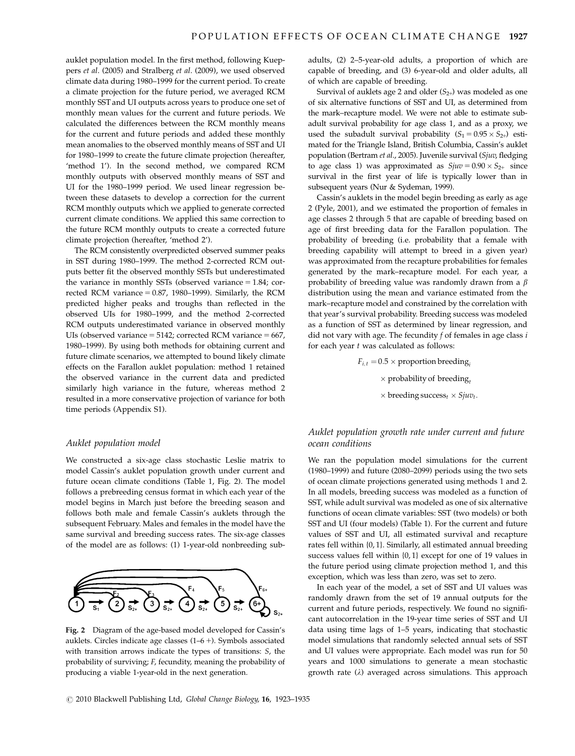auklet population model. In the first method, following Kueppers et al. (2005) and Stralberg et al. (2009), we used observed climate data during 1980–1999 for the current period. To create a climate projection for the future period, we averaged RCM monthly SST and UI outputs across years to produce one set of monthly mean values for the current and future periods. We calculated the differences between the RCM monthly means for the current and future periods and added these monthly mean anomalies to the observed monthly means of SST and UI for 1980–1999 to create the future climate projection (hereafter, 'method 1'). In the second method, we compared RCM monthly outputs with observed monthly means of SST and UI for the 1980–1999 period. We used linear regression between these datasets to develop a correction for the current RCM monthly outputs which we applied to generate corrected current climate conditions. We applied this same correction to the future RCM monthly outputs to create a corrected future climate projection (hereafter, 'method 2').

The RCM consistently overpredicted observed summer peaks in SST during 1980–1999. The method 2-corrected RCM outputs better fit the observed monthly SSTs but underestimated the variance in monthly SSTs (observed variance  $= 1.84$ ; corrected RCM variance  $= 0.87$ , 1980–1999). Similarly, the RCM predicted higher peaks and troughs than reflected in the observed UIs for 1980–1999, and the method 2-corrected RCM outputs underestimated variance in observed monthly UIs (observed variance  $= 5142$ ; corrected RCM variance  $= 667$ , 1980–1999). By using both methods for obtaining current and future climate scenarios, we attempted to bound likely climate effects on the Farallon auklet population: method 1 retained the observed variance in the current data and predicted similarly high variance in the future, whereas method 2 resulted in a more conservative projection of variance for both time periods (Appendix S1).

#### Auklet population model

We constructed a six-age class stochastic Leslie matrix to model Cassin's auklet population growth under current and future ocean climate conditions (Table 1, Fig. 2). The model follows a prebreeding census format in which each year of the model begins in March just before the breeding season and follows both male and female Cassin's auklets through the subsequent February. Males and females in the model have the same survival and breeding success rates. The six-age classes of the model are as follows: (1) 1-year-old nonbreeding sub-



Fig. 2 Diagram of the age-based model developed for Cassin's auklets. Circles indicate age classes  $(1-6 +)$ . Symbols associated with transition arrows indicate the types of transitions: S, the probability of surviving; F, fecundity, meaning the probability of producing a viable 1-year-old in the next generation.

adults, (2) 2–5-year-old adults, a proportion of which are capable of breeding, and (3) 6-year-old and older adults, all of which are capable of breeding.

Survival of auklets age 2 and older  $(S_{2+})$  was modeled as one of six alternative functions of SST and UI, as determined from the mark–recapture model. We were not able to estimate subadult survival probability for age class 1, and as a proxy, we used the subadult survival probability  $(S_1 = 0.95 \times S_{2+})$  estimated for the Triangle Island, British Columbia, Cassin's auklet population (Bertram et al., 2005). Juvenile survival (Sjuv, fledging to age class 1) was approximated as  $Sjuv = 0.90 \times S_{2+}$  since survival in the first year of life is typically lower than in subsequent years (Nur & Sydeman, 1999).

Cassin's auklets in the model begin breeding as early as age 2 (Pyle, 2001), and we estimated the proportion of females in age classes 2 through 5 that are capable of breeding based on age of first breeding data for the Farallon population. The probability of breeding (i.e. probability that a female with breeding capability will attempt to breed in a given year) was approximated from the recapture probabilities for females generated by the mark–recapture model. For each year, a probability of breeding value was randomly drawn from a  $\beta$ distribution using the mean and variance estimated from the mark–recapture model and constrained by the correlation with that year's survival probability. Breeding success was modeled as a function of SST as determined by linear regression, and did not vary with age. The fecundity  $f$  of females in age class  $i$ for each year  $t$  was calculated as follows:

> $F_{i,t} = 0.5 \times$  proportion breeding  $\times$  probability of breeding,  $\times$  breeding success<sub>t</sub>  $\times$  Sjuv<sub>t</sub>.

# Auklet population growth rate under current and future ocean conditions

We ran the population model simulations for the current (1980–1999) and future (2080–2099) periods using the two sets of ocean climate projections generated using methods 1 and 2. In all models, breeding success was modeled as a function of SST, while adult survival was modeled as one of six alternative functions of ocean climate variables: SST (two models) or both SST and UI (four models) (Table 1). For the current and future values of SST and UI, all estimated survival and recapture rates fell within {0, 1}. Similarly, all estimated annual breeding success values fell within {0, 1} except for one of 19 values in the future period using climate projection method 1, and this exception, which was less than zero, was set to zero.

In each year of the model, a set of SST and UI values was randomly drawn from the set of 19 annual outputs for the current and future periods, respectively. We found no significant autocorrelation in the 19-year time series of SST and UI data using time lags of 1–5 years, indicating that stochastic model simulations that randomly selected annual sets of SST and UI values were appropriate. Each model was run for 50 years and 1000 simulations to generate a mean stochastic growth rate  $(\lambda)$  averaged across simulations. This approach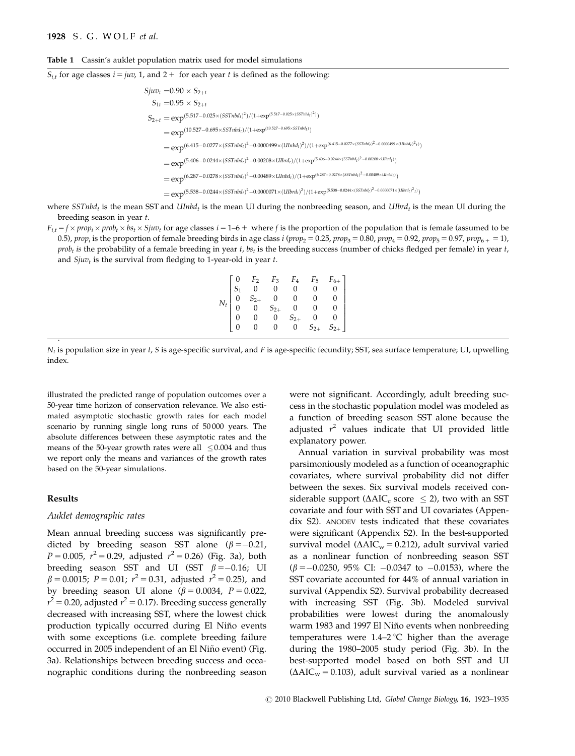## 1928 S. G. WOLF et al.

#### Table 1 Cassin's auklet population matrix used for model simulations

 $S_{i,t}$  for age classes  $i = juv$ , 1, and 2 + for each year t is defined as the following:

 $Sjuv_t = 0.90 \times S_{2+t}$  $S_{1t} = 0.95 \times S_{2+t}$  $S_{2+t} = \exp^{(5.517 - 0.025 \times (SSTnbd_t)^2)/(1 + \exp^{(5.517 - 0.025 \times (SSTnbd_t)^2)})}$  $=\exp^{(10.527-0.695\times SSTnbd_t)/(1+\exp^{(10.527-0.695\times SSTnbd_t)})}$  $=\exp^{(6.415-0.0277 \times (SSTnbd_t)^2-0.0000499 \times (UInbd_t)^2)/(1+\exp^{(6.415-0.0277 \times (SSTnbd_t)^2-0.0000499 \times (UInbd_t)^2 t)})}$  $=\exp^{(5.406-0.0244 \times (SSTnbd_t)^2-0.00208 \times UIIbrd_t) / (1+\exp^{(5.406-0.0244 \times (SSTnbd_t)^2-0.00208 \times UIIbrd_t)})}$  $=\exp^{(6.287-0.0278 \times (SSTnbd_t)^2-0.00489 \times UInbd_t) / (1+\exp^{(6.287-0.0278 \times (SSTnbd_t)^2-0.00489 \times UInbd_t)})}$  $=\exp^{(5.538-0.0244 \times (SSTnbd_t)^2-0.0000071 \times (UIIbrd_t)^2)/(1+\exp^{(5.538-0.0244 \times (SSTnbd_t)^2-0.0000071 \times (UIIbrd_t)^2_t)})}$ 

where  $SSTnbd<sub>t</sub>$  is the mean SST and  $UInbd<sub>t</sub>$  is the mean UI during the nonbreeding season, and  $UIlbrd<sub>t</sub>$  is the mean UI during the breeding season in year t.

 $F_{i,t} = f \times prop_i \times prob_t \times b s_t \times S j u v_t$  for age classes  $i = 1 - 6 +$  where f is the proportion of the population that is female (assumed to be 0.5), prop<sub>i</sub> is the proportion of female breeding birds in age class i (prop<sub>2</sub> = 0.25, prop<sub>3</sub> = 0.80, prop<sub>4</sub> = 0.92, prop<sub>6</sub> = 0.92, prop<sub>6</sub> + = 1),  $prob_t$  is the probability of a female breeding in year t,  $bs_t$  is the breeding success (number of chicks fledged per female) in year t, and  $Sjuv_t$  is the survival from fledging to 1-year-old in year  $t$ .

| $N_t \begin{bmatrix} 0 & F_2 & F_3 & F_4 & F_5 & F_{6+} \\ S_1 & 0 & 0 & 0 & 0 & 0 \\ 0 & S_{2+} & 0 & 0 & 0 & 0 \\ 0 & 0 & S_{2+} & 0 & 0 & 0 \\ 0 & 0 & 0 & S_{2+} & 0 & 0 \\ 0 & 0 & 0 & 0 & S_{2+} & S_{2+} \end{bmatrix}$ |  |  |  |
|--------------------------------------------------------------------------------------------------------------------------------------------------------------------------------------------------------------------------------|--|--|--|
|                                                                                                                                                                                                                                |  |  |  |
|                                                                                                                                                                                                                                |  |  |  |
|                                                                                                                                                                                                                                |  |  |  |
|                                                                                                                                                                                                                                |  |  |  |
|                                                                                                                                                                                                                                |  |  |  |

 $N_t$  is population size in year t, S is age-specific survival, and F is age-specific fecundity; SST, sea surface temperature; UI, upwelling index.

illustrated the predicted range of population outcomes over a 50-year time horizon of conservation relevance. We also estimated asymptotic stochastic growth rates for each model scenario by running single long runs of 50 000 years. The absolute differences between these asymptotic rates and the means of the 50-year growth rates were all  $\leq 0.004$  and thus we report only the means and variances of the growth rates based on the 50-year simulations.

# Results

.

#### Auklet demographic rates

Mean annual breeding success was significantly predicted by breeding season SST alone  $(\beta = -0.21,$  $P = 0.005$ ,  $r^2 = 0.29$ , adjusted  $r^2 = 0.26$ ) (Fig. 3a), both breeding season SST and UI (SST  $\beta = -0.16$ ; UI  $\beta = 0.0015; P = 0.01; r^2 = 0.31,$  adjusted  $r^2 = 0.25$ ), and by breeding season UI alone ( $\beta = 0.0034$ ,  $P = 0.022$ ,  $r^2$  = 0.20, adjusted  $r^2$  = 0.17). Breeding success generally decreased with increasing SST, where the lowest chick production typically occurred during El Niño events with some exceptions (i.e. complete breeding failure occurred in 2005 independent of an El Niño event) (Fig. 3a). Relationships between breeding success and oceanographic conditions during the nonbreeding season

were not significant. Accordingly, adult breeding success in the stochastic population model was modeled as a function of breeding season SST alone because the adjusted  $r^2$  values indicate that UI provided little explanatory power.

Annual variation in survival probability was most parsimoniously modeled as a function of oceanographic covariates, where survival probability did not differ between the sexes. Six survival models received considerable support ( $\Delta AIC_c$  score  $\leq$  2), two with an SST covariate and four with SST and UI covariates (Appendix S2). ANODEV tests indicated that these covariates were significant (Appendix S2). In the best-supported survival model ( $\Delta AIC_w = 0.212$ ), adult survival varied as a nonlinear function of nonbreeding season SST  $(\beta = -0.0250, 95\% \text{ CI: } -0.0347 \text{ to } -0.0153)$ , where the SST covariate accounted for 44% of annual variation in survival (Appendix S2). Survival probability decreased with increasing SST (Fig. 3b). Modeled survival probabilities were lowest during the anomalously warm 1983 and 1997 El Niño events when nonbreeding temperatures were  $1.4-2$  °C higher than the average during the 1980–2005 study period (Fig. 3b). In the best-supported model based on both SST and UI  $(\Delta AIC_w = 0.103)$ , adult survival varied as a nonlinear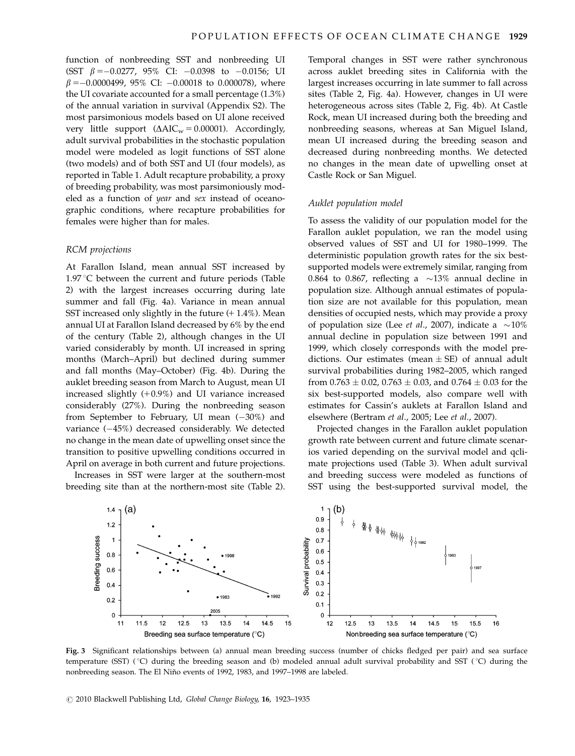function of nonbreeding SST and nonbreeding UI (SST  $\beta = -0.0277$ , 95% CI:  $-0.0398$  to  $-0.0156$ ; UI  $\beta = -0.0000499$ , 95% CI:  $-0.00018$  to 0.000078), where the UI covariate accounted for a small percentage (1.3%) of the annual variation in survival (Appendix S2). The most parsimonious models based on UI alone received very little support  $(\Delta AIC_w = 0.00001)$ . Accordingly, adult survival probabilities in the stochastic population model were modeled as logit functions of SST alone (two models) and of both SST and UI (four models), as reported in Table 1. Adult recapture probability, a proxy of breeding probability, was most parsimoniously modeled as a function of year and sex instead of oceanographic conditions, where recapture probabilities for females were higher than for males.

#### RCM projections

At Farallon Island, mean annual SST increased by 1.97  $\degree$ C between the current and future periods (Table 2) with the largest increases occurring during late summer and fall (Fig. 4a). Variance in mean annual SST increased only slightly in the future  $(+ 1.4\%)$ . Mean annual UI at Farallon Island decreased by 6% by the end of the century (Table 2), although changes in the UI varied considerably by month. UI increased in spring months (March–April) but declined during summer and fall months (May–October) (Fig. 4b). During the auklet breeding season from March to August, mean UI increased slightly  $(+0.9%)$  and UI variance increased considerably (27%). During the nonbreeding season from September to February, UI mean  $(-30%)$  and variance  $(-45%)$  decreased considerably. We detected no change in the mean date of upwelling onset since the transition to positive upwelling conditions occurred in April on average in both current and future projections.

Increases in SST were larger at the southern-most breeding site than at the northern-most site (Table 2). Temporal changes in SST were rather synchronous across auklet breeding sites in California with the largest increases occurring in late summer to fall across sites (Table 2, Fig. 4a). However, changes in UI were heterogeneous across sites (Table 2, Fig. 4b). At Castle Rock, mean UI increased during both the breeding and nonbreeding seasons, whereas at San Miguel Island, mean UI increased during the breeding season and decreased during nonbreeding months. We detected no changes in the mean date of upwelling onset at Castle Rock or San Miguel.

#### Auklet population model

To assess the validity of our population model for the Farallon auklet population, we ran the model using observed values of SST and UI for 1980–1999. The deterministic population growth rates for the six bestsupported models were extremely similar, ranging from 0.864 to 0.867, reflecting a  $\sim$ 13% annual decline in population size. Although annual estimates of population size are not available for this population, mean densities of occupied nests, which may provide a proxy of population size (Lee *et al.*, 2007), indicate a  $\sim$ 10% annual decline in population size between 1991 and 1999, which closely corresponds with the model predictions. Our estimates (mean  $\pm$  SE) of annual adult survival probabilities during 1982–2005, which ranged from 0.763  $\pm$  0.02, 0.763  $\pm$  0.03, and 0.764  $\pm$  0.03 for the six best-supported models, also compare well with estimates for Cassin's auklets at Farallon Island and elsewhere (Bertram et al., 2005; Lee et al., 2007).

Projected changes in the Farallon auklet population growth rate between current and future climate scenarios varied depending on the survival model and qclimate projections used (Table 3). When adult survival and breeding success were modeled as functions of SST using the best-supported survival model, the



Fig. 3 Significant relationships between (a) annual mean breeding success (number of chicks fledged per pair) and sea surface temperature (SST) ( $\degree$ C) during the breeding season and (b) modeled annual adult survival probability and SST ( $\degree$ C) during the nonbreeding season. The El Niño events of 1992, 1983, and 1997-1998 are labeled.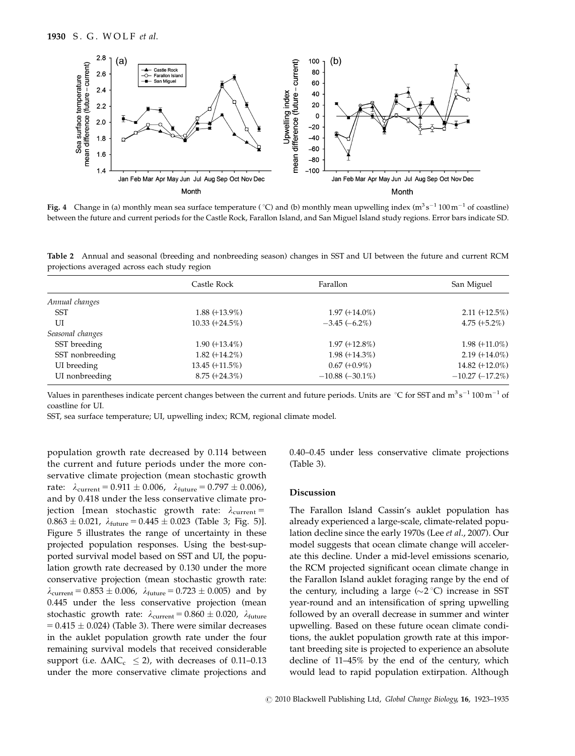

**Fig. 4** Change in (a) monthly mean sea surface temperature (°C) and (b) monthly mean upwelling index (m<sup>3</sup> s<sup>-1</sup> 100 m<sup>-1</sup> of coastline) between the future and current periods for the Castle Rock, Farallon Island, and San Miguel Island study regions. Error bars indicate SD.

Table 2 Annual and seasonal (breeding and nonbreeding season) changes in SST and UI between the future and current RCM projections averaged across each study region

|                  | Castle Rock       | Farallon          | San Miguel        |
|------------------|-------------------|-------------------|-------------------|
| Annual changes   |                   |                   |                   |
| SST              | $1.88 (+13.9\%)$  | $1.97 (+14.0\%)$  | $2.11 (+12.5%)$   |
| UI               | $10.33 (+24.5\%)$ | $-3.45(-6.2\%)$   | 4.75 $(+5.2\%)$   |
| Seasonal changes |                   |                   |                   |
| SST breeding     | $1.90 (+13.4\%)$  | $1.97 (+12.8\%)$  | $1.98 (+11.0\%)$  |
| SST nonbreeding  | $1.82 (+14.2\%)$  | $1.98 (+14.3\%)$  | $2.19 (+14.0\%)$  |
| UI breeding      | 13.45 (+11.5%)    | $0.67 (+0.9\%)$   | 14.82 $(+12.0\%)$ |
| UI nonbreeding   | $8.75 (+24.3\%)$  | $-10.88(-30.1\%)$ | $-10.27(-17.2\%)$ |

Values in parentheses indicate percent changes between the current and future periods. Units are  $°C$  for SST and  $m^3 s^{-1}$  100  $m^{-1}$  of coastline for UI.

SST, sea surface temperature; UI, upwelling index; RCM, regional climate model.

population growth rate decreased by 0.114 between the current and future periods under the more conservative climate projection (mean stochastic growth rate:  $\lambda_{\text{current}} = 0.911 \pm 0.006$ ,  $\lambda_{\text{future}} = 0.797 \pm 0.006$ ), and by 0.418 under the less conservative climate projection [mean stochastic growth rate:  $\lambda_{\text{current}} =$  $0.863 \pm 0.021$ ,  $\lambda_{\text{future}} = 0.445 \pm 0.023$  (Table 3; Fig. 5)]. Figure 5 illustrates the range of uncertainty in these projected population responses. Using the best-supported survival model based on SST and UI, the population growth rate decreased by 0.130 under the more conservative projection (mean stochastic growth rate:  $\lambda_{\text{current}} = 0.853 \pm 0.006$ ,  $\lambda_{\text{future}} = 0.723 \pm 0.005$ ) and by 0.445 under the less conservative projection (mean stochastic growth rate:  $\lambda_{\text{current}} = 0.860 \pm 0.020$ ,  $\lambda_{\text{future}}$  $= 0.415 \pm 0.024$ ) (Table 3). There were similar decreases in the auklet population growth rate under the four remaining survival models that received considerable support (i.e.  $\Delta AIC_c \leq 2$ ), with decreases of 0.11–0.13 under the more conservative climate projections and 0.40–0.45 under less conservative climate projections (Table 3).

#### Discussion

The Farallon Island Cassin's auklet population has already experienced a large-scale, climate-related population decline since the early 1970s (Lee et al., 2007). Our model suggests that ocean climate change will accelerate this decline. Under a mid-level emissions scenario, the RCM projected significant ocean climate change in the Farallon Island auklet foraging range by the end of the century, including a large  $(\sim 2 \degree C)$  increase in SST year-round and an intensification of spring upwelling followed by an overall decrease in summer and winter upwelling. Based on these future ocean climate conditions, the auklet population growth rate at this important breeding site is projected to experience an absolute decline of 11–45% by the end of the century, which would lead to rapid population extirpation. Although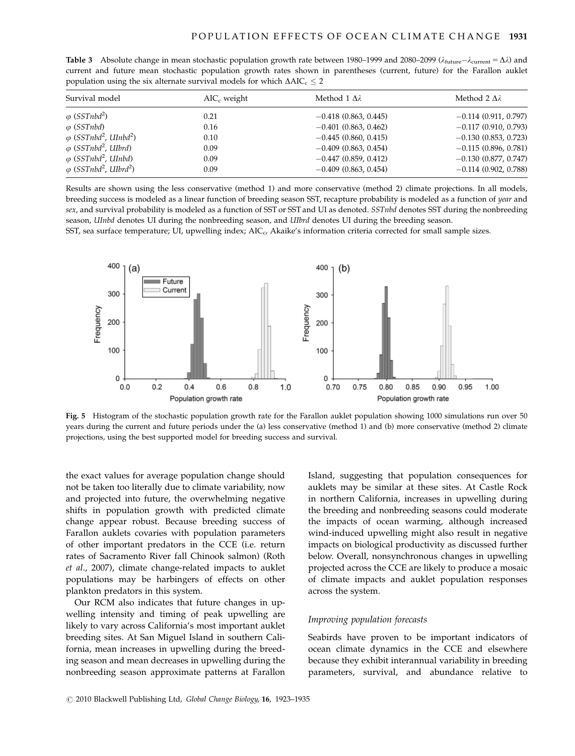| population aging the given and mate gai vival models for which $\Delta t$ here $\geq$ 2 |                |                           |                           |  |  |  |
|-----------------------------------------------------------------------------------------|----------------|---------------------------|---------------------------|--|--|--|
| Survival model                                                                          | $AIC_c$ weight | Method $1 \Delta \lambda$ | Method $2 \Delta \lambda$ |  |  |  |
| $\varphi$ (SSTnbd <sup>2</sup> )                                                        | 0.21           | $-0.418$ (0.863, 0.445)   | $-0.114(0.911, 0.797)$    |  |  |  |
| $\varphi$ (SSTnbd)                                                                      | 0.16           | $-0.401$ (0.863, 0.462)   | $-0.117(0.910, 0.793)$    |  |  |  |
| $\varphi$ (SSTnbd <sup>2</sup> , UInbd <sup>2</sup> )                                   | 0.10           | $-0.445(0.860, 0.415)$    | $-0.130(0.853, 0.723)$    |  |  |  |
| $\varphi$ (SSTnbd <sup>2</sup> , UIbrd)                                                 | 0.09           | $-0.409$ (0.863, 0.454)   | $-0.115(0.896, 0.781)$    |  |  |  |
| $\varphi$ (SSTnbd <sup>2</sup> , UInbd)                                                 | 0.09           | $-0.447$ (0.859, 0.412)   | $-0.130(0.877, 0.747)$    |  |  |  |
| $\varphi$ (SSTnbd <sup>2</sup> , UIbrd <sup>2</sup> )                                   | 0.09           | $-0.409$ (0.863, 0.454)   | $-0.114$ (0.902, 0.788)   |  |  |  |
|                                                                                         |                |                           |                           |  |  |  |

**Table 3** Absolute change in mean stochastic population growth rate between 1980–1999 and 2080–2099 ( $\lambda_{\text{future}} - \lambda_{\text{current}} = \Delta \lambda$ ) and current and future mean stochastic population growth rates shown in parentheses (current, future) for the Farallon auklet population using the six alternate survival models for which  $\triangle AIC \le 2$ 

Results are shown using the less conservative (method 1) and more conservative (method 2) climate projections. In all models, breeding success is modeled as a linear function of breeding season SST, recapture probability is modeled as a function of year and sex, and survival probability is modeled as a function of SST or SST and UI as denoted. SSTnbd denotes SST during the nonbreeding season, UInbd denotes UI during the nonbreeding season, and UIbrd denotes UI during the breeding season.

SST, sea surface temperature; UI, upwelling index;  $AIC_{c}$ , Akaike's information criteria corrected for small sample sizes.



Fig. 5 Histogram of the stochastic population growth rate for the Farallon auklet population showing 1000 simulations run over 50 years during the current and future periods under the (a) less conservative (method 1) and (b) more conservative (method 2) climate projections, using the best supported model for breeding success and survival.

the exact values for average population change should not be taken too literally due to climate variability, now and projected into future, the overwhelming negative shifts in population growth with predicted climate change appear robust. Because breeding success of Farallon auklets covaries with population parameters of other important predators in the CCE (i.e. return rates of Sacramento River fall Chinook salmon) (Roth et al., 2007), climate change-related impacts to auklet populations may be harbingers of effects on other plankton predators in this system.

Our RCM also indicates that future changes in upwelling intensity and timing of peak upwelling are likely to vary across California's most important auklet breeding sites. At San Miguel Island in southern California, mean increases in upwelling during the breeding season and mean decreases in upwelling during the nonbreeding season approximate patterns at Farallon

Island, suggesting that population consequences for auklets may be similar at these sites. At Castle Rock in northern California, increases in upwelling during the breeding and nonbreeding seasons could moderate the impacts of ocean warming, although increased wind-induced upwelling might also result in negative impacts on biological productivity as discussed further below. Overall, nonsynchronous changes in upwelling projected across the CCE are likely to produce a mosaic of climate impacts and auklet population responses across the system.

# Improving population forecasts

Seabirds have proven to be important indicators of ocean climate dynamics in the CCE and elsewhere because they exhibit interannual variability in breeding parameters, survival, and abundance relative to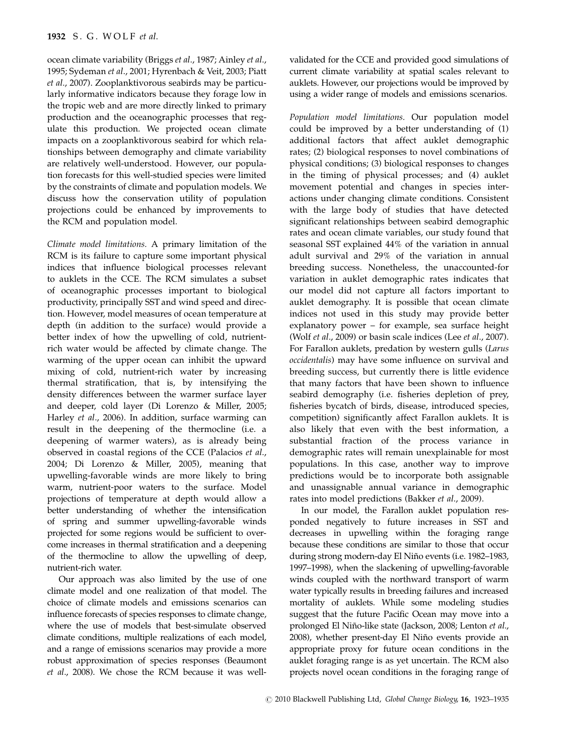ocean climate variability (Briggs et al., 1987; Ainley et al., 1995; Sydeman et al., 2001; Hyrenbach & Veit, 2003; Piatt et al., 2007). Zooplanktivorous seabirds may be particularly informative indicators because they forage low in the tropic web and are more directly linked to primary production and the oceanographic processes that regulate this production. We projected ocean climate impacts on a zooplanktivorous seabird for which relationships between demography and climate variability are relatively well-understood. However, our population forecasts for this well-studied species were limited by the constraints of climate and population models. We discuss how the conservation utility of population projections could be enhanced by improvements to the RCM and population model.

Climate model limitations. A primary limitation of the RCM is its failure to capture some important physical indices that influence biological processes relevant to auklets in the CCE. The RCM simulates a subset of oceanographic processes important to biological productivity, principally SST and wind speed and direction. However, model measures of ocean temperature at depth (in addition to the surface) would provide a better index of how the upwelling of cold, nutrientrich water would be affected by climate change. The warming of the upper ocean can inhibit the upward mixing of cold, nutrient-rich water by increasing thermal stratification, that is, by intensifying the density differences between the warmer surface layer and deeper, cold layer (Di Lorenzo & Miller, 2005; Harley et al., 2006). In addition, surface warming can result in the deepening of the thermocline (i.e. a deepening of warmer waters), as is already being observed in coastal regions of the CCE (Palacios et al., 2004; Di Lorenzo & Miller, 2005), meaning that upwelling-favorable winds are more likely to bring warm, nutrient-poor waters to the surface. Model projections of temperature at depth would allow a better understanding of whether the intensification of spring and summer upwelling-favorable winds projected for some regions would be sufficient to overcome increases in thermal stratification and a deepening of the thermocline to allow the upwelling of deep, nutrient-rich water.

Our approach was also limited by the use of one climate model and one realization of that model. The choice of climate models and emissions scenarios can influence forecasts of species responses to climate change, where the use of models that best-simulate observed climate conditions, multiple realizations of each model, and a range of emissions scenarios may provide a more robust approximation of species responses (Beaumont et al., 2008). We chose the RCM because it was wellvalidated for the CCE and provided good simulations of current climate variability at spatial scales relevant to auklets. However, our projections would be improved by using a wider range of models and emissions scenarios.

Population model limitations. Our population model could be improved by a better understanding of (1) additional factors that affect auklet demographic rates; (2) biological responses to novel combinations of physical conditions; (3) biological responses to changes in the timing of physical processes; and (4) auklet movement potential and changes in species interactions under changing climate conditions. Consistent with the large body of studies that have detected significant relationships between seabird demographic rates and ocean climate variables, our study found that seasonal SST explained 44% of the variation in annual adult survival and 29% of the variation in annual breeding success. Nonetheless, the unaccounted-for variation in auklet demographic rates indicates that our model did not capture all factors important to auklet demography. It is possible that ocean climate indices not used in this study may provide better explanatory power – for example, sea surface height (Wolf et al., 2009) or basin scale indices (Lee et al., 2007). For Farallon auklets, predation by western gulls (Larus occidentalis) may have some influence on survival and breeding success, but currently there is little evidence that many factors that have been shown to influence seabird demography (i.e. fisheries depletion of prey, fisheries bycatch of birds, disease, introduced species, competition) significantly affect Farallon auklets. It is also likely that even with the best information, a substantial fraction of the process variance in demographic rates will remain unexplainable for most populations. In this case, another way to improve predictions would be to incorporate both assignable and unassignable annual variance in demographic rates into model predictions (Bakker et al., 2009).

In our model, the Farallon auklet population responded negatively to future increases in SST and decreases in upwelling within the foraging range because these conditions are similar to those that occur during strong modern-day El Niño events (i.e. 1982–1983, 1997–1998), when the slackening of upwelling-favorable winds coupled with the northward transport of warm water typically results in breeding failures and increased mortality of auklets. While some modeling studies suggest that the future Pacific Ocean may move into a prolonged El Niño-like state (Jackson, 2008; Lenton et al., 2008), whether present-day El Niño events provide an appropriate proxy for future ocean conditions in the auklet foraging range is as yet uncertain. The RCM also projects novel ocean conditions in the foraging range of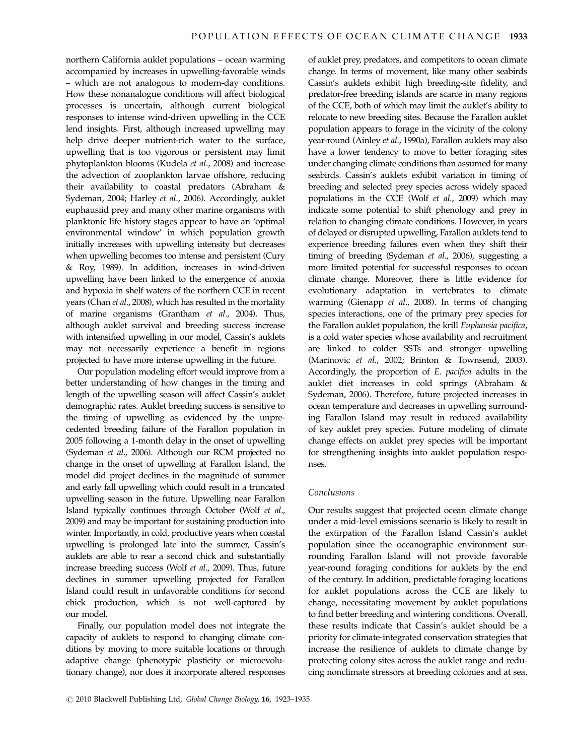northern California auklet populations – ocean warming accompanied by increases in upwelling-favorable winds – which are not analogous to modern-day conditions. How these nonanalogue conditions will affect biological processes is uncertain, although current biological responses to intense wind-driven upwelling in the CCE lend insights. First, although increased upwelling may help drive deeper nutrient-rich water to the surface, upwelling that is too vigorous or persistent may limit phytoplankton blooms (Kudela et al., 2008) and increase the advection of zooplankton larvae offshore, reducing their availability to coastal predators (Abraham & Sydeman, 2004; Harley et al., 2006). Accordingly, auklet euphausiid prey and many other marine organisms with planktonic life history stages appear to have an 'optimal environmental window' in which population growth initially increases with upwelling intensity but decreases when upwelling becomes too intense and persistent (Cury & Roy, 1989). In addition, increases in wind-driven upwelling have been linked to the emergence of anoxia and hypoxia in shelf waters of the northern CCE in recent years (Chan et al., 2008), which has resulted in the mortality of marine organisms (Grantham et al., 2004). Thus, although auklet survival and breeding success increase with intensified upwelling in our model, Cassin's auklets may not necessarily experience a benefit in regions projected to have more intense upwelling in the future.

Our population modeling effort would improve from a better understanding of how changes in the timing and length of the upwelling season will affect Cassin's auklet demographic rates. Auklet breeding success is sensitive to the timing of upwelling as evidenced by the unprecedented breeding failure of the Farallon population in 2005 following a 1-month delay in the onset of upwelling (Sydeman et al., 2006). Although our RCM projected no change in the onset of upwelling at Farallon Island, the model did project declines in the magnitude of summer and early fall upwelling which could result in a truncated upwelling season in the future. Upwelling near Farallon Island typically continues through October (Wolf et al., 2009) and may be important for sustaining production into winter. Importantly, in cold, productive years when coastal upwelling is prolonged late into the summer, Cassin's auklets are able to rear a second chick and substantially increase breeding success (Wolf et al., 2009). Thus, future declines in summer upwelling projected for Farallon Island could result in unfavorable conditions for second chick production, which is not well-captured by our model.

Finally, our population model does not integrate the capacity of auklets to respond to changing climate conditions by moving to more suitable locations or through adaptive change (phenotypic plasticity or microevolutionary change), nor does it incorporate altered responses

of auklet prey, predators, and competitors to ocean climate change. In terms of movement, like many other seabirds Cassin's auklets exhibit high breeding-site fidelity, and predator-free breeding islands are scarce in many regions of the CCE, both of which may limit the auklet's ability to relocate to new breeding sites. Because the Farallon auklet population appears to forage in the vicinity of the colony year-round (Ainley et al., 1990a), Farallon auklets may also have a lower tendency to move to better foraging sites under changing climate conditions than assumed for many seabirds. Cassin's auklets exhibit variation in timing of breeding and selected prey species across widely spaced populations in the CCE (Wolf et al., 2009) which may indicate some potential to shift phenology and prey in relation to changing climate conditions. However, in years of delayed or disrupted upwelling, Farallon auklets tend to experience breeding failures even when they shift their timing of breeding (Sydeman et al., 2006), suggesting a more limited potential for successful responses to ocean climate change. Moreover, there is little evidence for evolutionary adaptation in vertebrates to climate warming (Gienapp et al., 2008). In terms of changing species interactions, one of the primary prey species for the Farallon auklet population, the krill Euphausia pacifica, is a cold water species whose availability and recruitment are linked to colder SSTs and stronger upwelling (Marinovic et al., 2002; Brinton & Townsend, 2003). Accordingly, the proportion of E. pacifica adults in the auklet diet increases in cold springs (Abraham & Sydeman, 2006). Therefore, future projected increases in ocean temperature and decreases in upwelling surrounding Farallon Island may result in reduced availability of key auklet prey species. Future modeling of climate change effects on auklet prey species will be important for strengthening insights into auklet population responses.

# Conclusions

Our results suggest that projected ocean climate change under a mid-level emissions scenario is likely to result in the extirpation of the Farallon Island Cassin's auklet population since the oceanographic environment surrounding Farallon Island will not provide favorable year-round foraging conditions for auklets by the end of the century. In addition, predictable foraging locations for auklet populations across the CCE are likely to change, necessitating movement by auklet populations to find better breeding and wintering conditions. Overall, these results indicate that Cassin's auklet should be a priority for climate-integrated conservation strategies that increase the resilience of auklets to climate change by protecting colony sites across the auklet range and reducing nonclimate stressors at breeding colonies and at sea.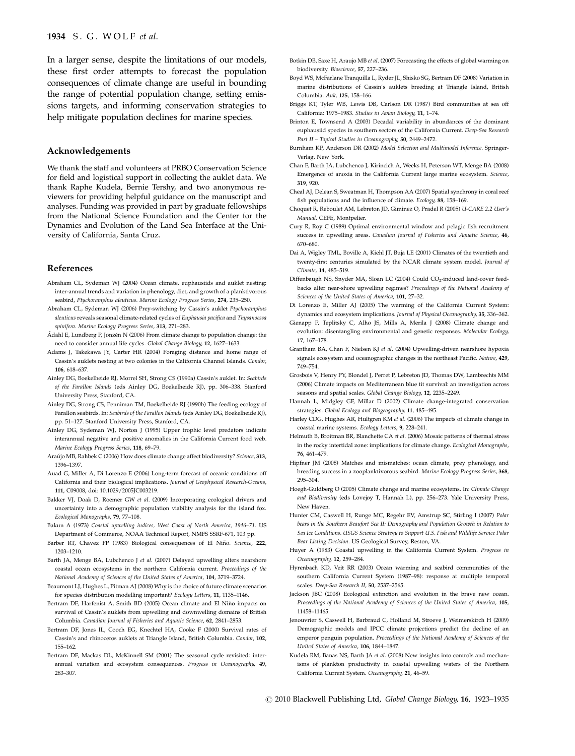In a larger sense, despite the limitations of our models, these first order attempts to forecast the population consequences of climate change are useful in bounding the range of potential population change, setting emissions targets, and informing conservation strategies to help mitigate population declines for marine species.

# Acknowledgements

We thank the staff and volunteers at PRBO Conservation Science for field and logistical support in collecting the auklet data. We thank Raphe Kudela, Bernie Tershy, and two anonymous reviewers for providing helpful guidance on the manuscript and analyses. Funding was provided in part by graduate fellowships from the National Science Foundation and the Center for the Dynamics and Evolution of the Land Sea Interface at the University of California, Santa Cruz.

#### References

- Abraham CL, Sydeman WJ (2004) Ocean climate, euphausiids and auklet nesting: inter-annual trends and variation in phenology, diet, and growth of a planktivorous seabird, Ptychoramphus aleuticus. Marine Ecology Progress Series, 274, 235–250.
- Abraham CL, Sydeman WJ (2006) Prey-switching by Cassin's auklet Ptychoramphus aleuticus reveals seasonal climate-related cycles of Euphausia pacifica and Thysanoessa spinifera. Marine Ecology Progress Series, 313, 271–283.
- Ådahl E, Lundberg P, Jonzén N (2006) From climate change to population change: the need to consider annual life cycles. Global Change Biology, 12, 1627–1633.
- Adams J, Takekawa JY, Carter HR (2004) Foraging distance and home range of Cassin's auklets nesting at two colonies in the California Channel Islands. Condor, 106, 618–637.
- Ainley DG, Boekelheide RJ, Morrel SH, Strong CS (1990a) Cassin's auklet. In: Seabirds of the Farallon Islands (eds Ainley DG, Boekelheide RJ), pp. 306–338. Stanford University Press, Stanford, CA.
- Ainley DG, Strong CS, Penniman TM, Boekelheide RJ (1990b) The feeding ecology of Farallon seabirds. In: Seabirds of the Farallon Islands (eds Ainley DG, Boekelheide RJ), pp. 51–127. Stanford University Press, Stanford, CA.
- Ainley DG, Sydeman WJ, Norton J (1995) Upper trophic level predators indicate interannual negative and positive anomalies in the California Current food web. Marine Ecology Progress Series, 118, 69–79.
- Araújo MB, Rahbek C (2006) How does climate change affect biodiversity? Science, 313, 1396–1397.
- Auad G, Miller A, Di Lorenzo E (2006) Long-term forecast of oceanic conditions off California and their biological implications. Journal of Geophysical Research-Oceans, 111, C09008, doi: [10.1029/2005JC003219.](10.1029/2005JC003219)
- Bakker VJ, Doak D, Roemer GW et al. (2009) Incorporating ecological drivers and uncertainty into a demographic population viability analysis for the island fox. Ecological Monographs, 79, 77–108.
- Bakun A (1973) Coastal upwelling indices, West Coast of North America, 1946–71. US Department of Commerce, NOAA Technical Report, NMFS SSRF-671, 103 pp.
- Barber RT, Chavez FP (1983) Biological consequences of El Niño. Science, 222, 1203–1210.
- Barth JA, Menge BA, Lubchenco J et al. (2007) Delayed upwelling alters nearshore coastal ocean ecosystems in the northern California current. Proceedings of the National Academy of Sciences of the United States of America, 104, 3719–3724.
- Beaumont LJ, Hughes L, Pitman AJ (2008) Why is the choice of future climate scenarios for species distribution modelling important? Ecology Letters, 11, 1135–1146.
- Bertram DE, Harfenist A, Smith BD (2005) Ocean climate and El Niño impacts on survival of Cassin's auklets from upwelling and downwelling domains of British Columbia. Canadian Journal of Fisheries and Aquatic Science, 62, 2841–2853.
- Bertram DF, Jones IL, Cooch EG, Knechtel HA, Cooke F (2000) Survival rates of Cassin's and rhinoceros auklets at Triangle Island, British Columbia. Condor, 102, 155–162.
- Bertram DF, Mackas DL, McKinnell SM (2001) The seasonal cycle revisited: interannual variation and ecosystem consequences. Progress in Oceanography, 49, 283–307.
- Botkin DB, Saxe H, Araujo MB et al. (2007) Forecasting the effects of global warming on biodiversity. Bioscience, 57, 227–236.
- Boyd WS, McFarlane Tranquilla L, Ryder JL, Shisko SG, Bertram DF (2008) Variation in marine distributions of Cassin's auklets breeding at Triangle Island, British Columbia. Auk, 125, 158–166.
- Briggs KT, Tyler WB, Lewis DB, Carlson DR (1987) Bird communities at sea off California: 1975–1983. Studies in Avian Biology, 11, 1–74.
- Brinton E, Townsend A (2003) Decadal variability in abundances of the dominant euphausiid species in southern sectors of the California Current. Deep-Sea Research Part II – Topical Studies in Oceanography, 50, 2449–2472.
- Burnham KP, Anderson DR (2002) Model Selection and Multimodel Inference. Springer-Verlag, New York.
- Chan F, Barth JA, Lubchenco J, Kirincich A, Weeks H, Peterson WT, Menge BA (2008) Emergence of anoxia in the California Current large marine ecosystem. Science, 319, 920.
- Cheal AJ, Delean S, Sweatman H, Thompson AA (2007) Spatial synchrony in coral reef fish populations and the influence of climate. Ecology, 88, 158–169.
- Choquet R, Reboulet AM, Lebreton JD, Giminez O, Pradel R (2005) U-CARE 2.2 User's Manual. CEFE, Montpelier.
- Cury R, Roy C (1989) Optimal environmental window and pelagic fish recruitment success in upwelling areas. Canadian Journal of Fisheries and Aquatic Science, 46, 670–680.
- Dai A, Wigley TML, Boville A, Kiehl JT, Buja LE (2001) Climates of the twentieth and twenty-first centuries simulated by the NCAR climate system model. Journal of Climate, 14, 485–519.
- Diffenbaugh NS, Snyder MA, Sloan LC (2004) Could CO<sub>2</sub>-induced land-cover feedbacks alter near-shore upwelling regimes? Proceedings of the National Academy of Sciences of the United States of America, 101, 27–32.
- Di Lorenzo E, Miller AJ (2005) The warming of the California Current System: dynamics and ecosystem implications. Journal of Physical Oceanography, 35, 336–362.
- Gienapp P, Teplitsky C, Alho JS, Mills A, Merila J (2008) Climate change and evolution: disentangling environmental and genetic responses. Molecular Ecology, 17, 167–178.
- Grantham BA, Chan F, Nielsen KJ et al. (2004) Upwelling-driven nearshore hypoxia signals ecosystem and oceanographic changes in the northeast Pacific. Nature, 429, 749–754.
- Grosbois V, Henry PY, Blondel J, Perret P, Lebreton JD, Thomas DW, Lambrechts MM (2006) Climate impacts on Mediterranean blue tit survival: an investigation across seasons and spatial scales. Global Change Biology, 12, 2235-2249
- Hannah L, Midgley GF, Millar D (2002) Climate change-integrated conservation strategies. Global Ecology and Biogeography, 11, 485–495.
- Harley CDG, Hughes AR, Hultgren KM et al. (2006) The impacts of climate change in coastal marine systems. Ecology Letters, 9, 228–241.
- Helmuth B, Broitman BR, Blanchette CA et al. (2006) Mosaic patterns of thermal stress in the rocky intertidal zone: implications for climate change. Ecological Monographs, 76, 461–479.
- Hipfner JM (2008) Matches and mismatches: ocean climate, prey phenology, and breeding success in a zooplanktivorous seabird. Marine Ecology Progress Series, 368, 295–304.
- Hoegh-Guldberg O (2005) Climate change and marine ecosystems. In: Climate Change and Biodiversity (eds Lovejoy T, Hannah L), pp. 256–273. Yale University Press, New Haven.
- Hunter CM, Caswell H, Runge MC, Regehr EV, Amstrup SC, Stirling I (2007) Polar bears in the Southern Beaufort Sea II: Demography and Population Growth in Relation to Sea Ice Conditions. USGS Science Strategy to Support U.S. Fish and Wildlife Service Polar Bear Listing Decision. US Geological Survey, Reston, VA.
- Huyer A (1983) Coastal upwelling in the California Current System. Progress in Oceanography, 12, 259–284.
- Hyrenbach KD, Veit RR (2003) Ocean warming and seabird communities of the southern California Current System (1987–98): response at multiple temporal scales. Deep-Sea Research II, 50, 2537–2565.
- Jackson JBC (2008) Ecological extinction and evolution in the brave new ocean. Proceedings of the National Academy of Sciences of the United States of America, 105, 11458–11465.
- Jenouvrier S, Caswell H, Barbraud C, Holland M, Stroeve J, Weimerskirch H (2009) Demographic models and IPCC climate projections predict the decline of an emperor penguin population. Proceedings of the National Academy of Sciences of the United States of America, 106, 1844–1847.
- Kudela RM, Banas NS, Barth JA et al. (2008) New insights into controls and mechanisms of plankton productivity in coastal upwelling waters of the Northern California Current System. Oceanography, 21, 46–59.